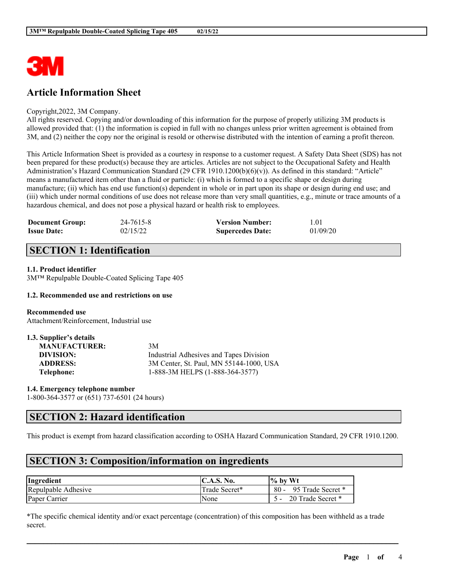

## **Article Information Sheet**

#### Copyright,2022, 3M Company.

All rights reserved. Copying and/or downloading of this information for the purpose of properly utilizing 3M products is allowed provided that: (1) the information is copied in full with no changes unless prior written agreement is obtained from 3M, and (2) neither the copy nor the original is resold or otherwise distributed with the intention of earning a profit thereon.

This Article Information Sheet is provided as a courtesy in response to a customer request. A Safety Data Sheet (SDS) has not been prepared for these product(s) because they are articles. Articles are not subject to the Occupational Safety and Health Administration's Hazard Communication Standard (29 CFR 1910.1200(b)(6)(v)). As defined in this standard: "Article" means a manufactured item other than a fluid or particle: (i) which is formed to a specific shape or design during manufacture; (ii) which has end use function(s) dependent in whole or in part upon its shape or design during end use; and (iii) which under normal conditions of use does not release more than very small quantities, e.g., minute or trace amounts of a hazardous chemical, and does not pose a physical hazard or health risk to employees.

| <b>Document Group:</b> | 24-7615-8 | <b>Version Number:</b>  | 1.01     |
|------------------------|-----------|-------------------------|----------|
| <b>Issue Date:</b>     | 02/15/22  | <b>Supercedes Date:</b> | 01/09/20 |

## **SECTION 1: Identification**

### **1.1. Product identifier**

3M™ Repulpable Double-Coated Splicing Tape 405

#### **1.2. Recommended use and restrictions on use**

**Recommended use** Attachment/Reinforcement, Industrial use

| 1.3. Supplier's details |                                         |
|-------------------------|-----------------------------------------|
| <b>MANUFACTURER:</b>    | 3M                                      |
| DIVISION:               | Industrial Adhesives and Tapes Division |
| <b>ADDRESS:</b>         | 3M Center, St. Paul, MN 55144-1000, USA |
| Telephone:              | 1-888-3M HELPS (1-888-364-3577)         |

**1.4. Emergency telephone number** 1-800-364-3577 or (651) 737-6501 (24 hours)

### **SECTION 2: Hazard identification**

This product is exempt from hazard classification according to OSHA Hazard Communication Standard, 29 CFR 1910.1200.

### **SECTION 3: Composition/information on ingredients**

| Ingredient          | <b>IC.A.S. No.</b> | $\frac{10}{6}$ by Wt        |
|---------------------|--------------------|-----------------------------|
| Repulpable Adhesive | Trade Secret*      | 95 Trade Secret *<br>$80 -$ |
| Paper Carrier       | None               | 20 Trade Secret *           |

\*The specific chemical identity and/or exact percentage (concentration) of this composition has been withheld as a trade secret.

 $\mathcal{L}_\mathcal{L} = \mathcal{L}_\mathcal{L} = \mathcal{L}_\mathcal{L} = \mathcal{L}_\mathcal{L} = \mathcal{L}_\mathcal{L} = \mathcal{L}_\mathcal{L} = \mathcal{L}_\mathcal{L} = \mathcal{L}_\mathcal{L} = \mathcal{L}_\mathcal{L} = \mathcal{L}_\mathcal{L} = \mathcal{L}_\mathcal{L} = \mathcal{L}_\mathcal{L} = \mathcal{L}_\mathcal{L} = \mathcal{L}_\mathcal{L} = \mathcal{L}_\mathcal{L} = \mathcal{L}_\mathcal{L} = \mathcal{L}_\mathcal{L}$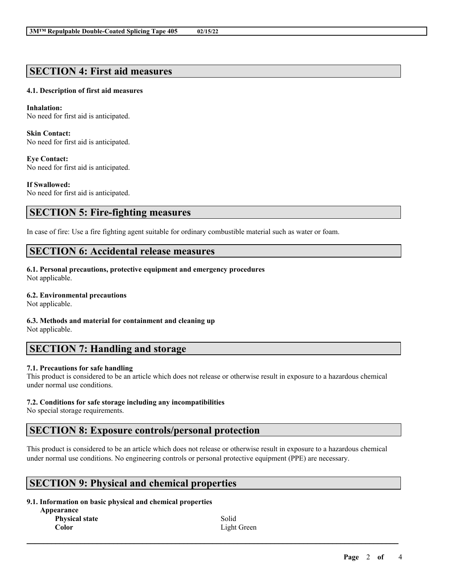### **SECTION 4: First aid measures**

### **4.1. Description of first aid measures**

**Inhalation:** No need for first aid is anticipated.

**Skin Contact:** No need for first aid is anticipated.

**Eye Contact:** No need for first aid is anticipated.

**If Swallowed:** No need for first aid is anticipated.

# **SECTION 5: Fire-fighting measures**

In case of fire: Use a fire fighting agent suitable for ordinary combustible material such as water or foam.

### **SECTION 6: Accidental release measures**

**6.1. Personal precautions, protective equipment and emergency procedures** Not applicable.

#### **6.2. Environmental precautions**

Not applicable.

**6.3. Methods and material for containment and cleaning up** Not applicable.

### **SECTION 7: Handling and storage**

### **7.1. Precautions for safe handling**

This product is considered to be an article which does not release or otherwise result in exposure to a hazardous chemical under normal use conditions.

### **7.2. Conditions for safe storage including any incompatibilities**

No special storage requirements.

### **SECTION 8: Exposure controls/personal protection**

This product is considered to be an article which does not release or otherwise result in exposure to a hazardous chemical under normal use conditions. No engineering controls or personal protective equipment (PPE) are necessary.

 $\mathcal{L}_\mathcal{L} = \mathcal{L}_\mathcal{L} = \mathcal{L}_\mathcal{L} = \mathcal{L}_\mathcal{L} = \mathcal{L}_\mathcal{L} = \mathcal{L}_\mathcal{L} = \mathcal{L}_\mathcal{L} = \mathcal{L}_\mathcal{L} = \mathcal{L}_\mathcal{L} = \mathcal{L}_\mathcal{L} = \mathcal{L}_\mathcal{L} = \mathcal{L}_\mathcal{L} = \mathcal{L}_\mathcal{L} = \mathcal{L}_\mathcal{L} = \mathcal{L}_\mathcal{L} = \mathcal{L}_\mathcal{L} = \mathcal{L}_\mathcal{L}$ 

## **SECTION 9: Physical and chemical properties**

### **9.1. Information on basic physical and chemical properties**

**Appearance Physical state Color**

Solid Light Green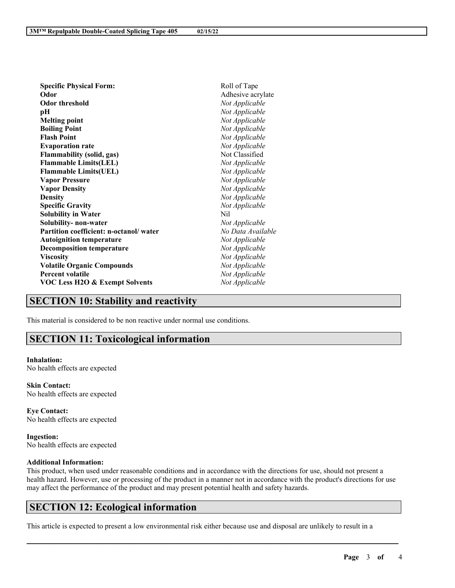| <b>Specific Physical Form:</b>            | Roll of Tape      |
|-------------------------------------------|-------------------|
| Odor                                      | Adhesive acrylate |
| <b>Odor threshold</b>                     | Not Applicable    |
| рH                                        | Not Applicable    |
| <b>Melting point</b>                      | Not Applicable    |
| <b>Boiling Point</b>                      | Not Applicable    |
| <b>Flash Point</b>                        | Not Applicable    |
| <b>Evaporation rate</b>                   | Not Applicable    |
| <b>Flammability (solid, gas)</b>          | Not Classified    |
| <b>Flammable Limits(LEL)</b>              | Not Applicable    |
| <b>Flammable Limits(UEL)</b>              | Not Applicable    |
| <b>Vapor Pressure</b>                     | Not Applicable    |
| <b>Vapor Density</b>                      | Not Applicable    |
| <b>Density</b>                            | Not Applicable    |
| <b>Specific Gravity</b>                   | Not Applicable    |
| <b>Solubility in Water</b>                | Nil               |
| Solubility- non-water                     | Not Applicable    |
| Partition coefficient: n-octanol/water    | No Data Available |
| <b>Autoignition temperature</b>           | Not Applicable    |
| <b>Decomposition temperature</b>          | Not Applicable    |
| <b>Viscosity</b>                          | Not Applicable    |
| <b>Volatile Organic Compounds</b>         | Not Applicable    |
| <b>Percent volatile</b>                   | Not Applicable    |
| <b>VOC Less H2O &amp; Exempt Solvents</b> | Not Applicable    |
|                                           |                   |

### **SECTION 10: Stability and reactivity**

This material is considered to be non reactive under normal use conditions.

# **SECTION 11: Toxicological information**

#### **Inhalation:** No health effects are expected

**Skin Contact:** No health effects are expected

**Eye Contact:** No health effects are expected

**Ingestion:** No health effects are expected

### **Additional Information:**

This product, when used under reasonable conditions and in accordance with the directions for use, should not present a health hazard. However, use or processing of the product in a manner not in accordance with the product's directions for use may affect the performance of the product and may present potential health and safety hazards.

 $\mathcal{L}_\mathcal{L} = \mathcal{L}_\mathcal{L} = \mathcal{L}_\mathcal{L} = \mathcal{L}_\mathcal{L} = \mathcal{L}_\mathcal{L} = \mathcal{L}_\mathcal{L} = \mathcal{L}_\mathcal{L} = \mathcal{L}_\mathcal{L} = \mathcal{L}_\mathcal{L} = \mathcal{L}_\mathcal{L} = \mathcal{L}_\mathcal{L} = \mathcal{L}_\mathcal{L} = \mathcal{L}_\mathcal{L} = \mathcal{L}_\mathcal{L} = \mathcal{L}_\mathcal{L} = \mathcal{L}_\mathcal{L} = \mathcal{L}_\mathcal{L}$ 

## **SECTION 12: Ecological information**

This article is expected to present a low environmental risk either because use and disposal are unlikely to result in a